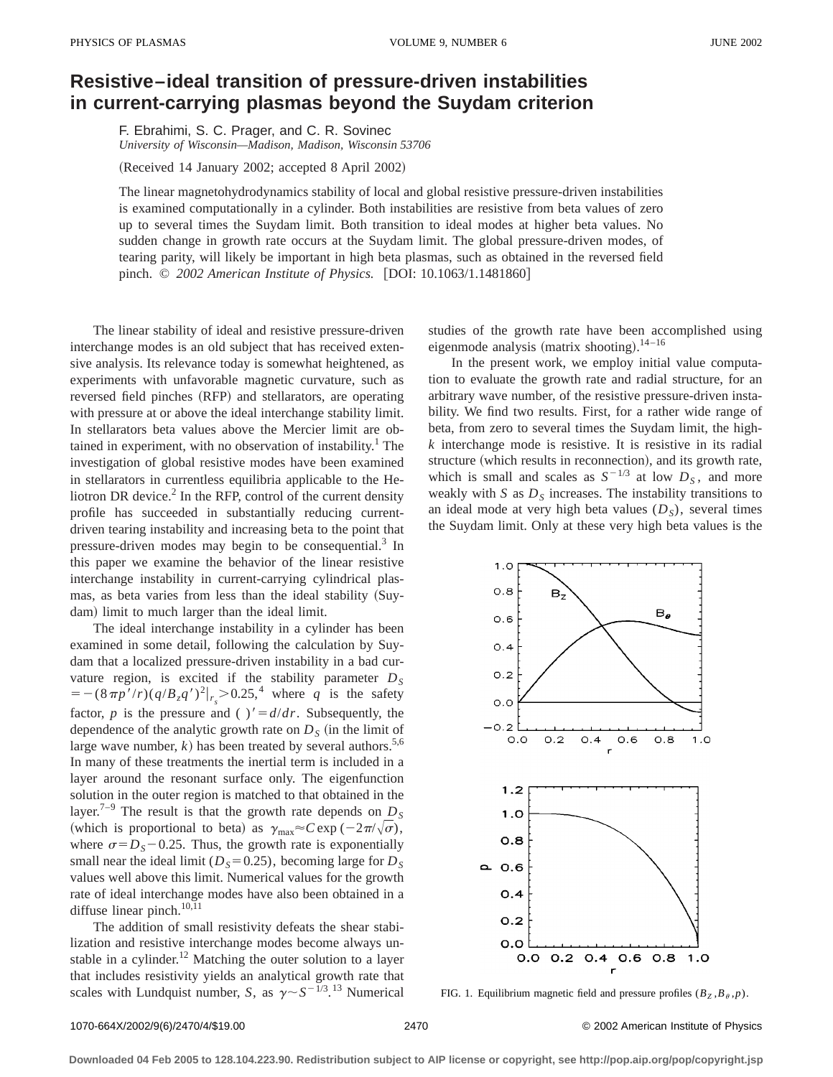## **Resistive–ideal transition of pressure-driven instabilities in current-carrying plasmas beyond the Suydam criterion**

F. Ebrahimi, S. C. Prager, and C. R. Sovinec *University of Wisconsin—Madison, Madison, Wisconsin 53706*

 $(Received 14 January 2002; accepted 8 April 2002)$ 

The linear magnetohydrodynamics stability of local and global resistive pressure-driven instabilities is examined computationally in a cylinder. Both instabilities are resistive from beta values of zero up to several times the Suydam limit. Both transition to ideal modes at higher beta values. No sudden change in growth rate occurs at the Suydam limit. The global pressure-driven modes, of tearing parity, will likely be important in high beta plasmas, such as obtained in the reversed field pinch. © 2002 American Institute of Physics. [DOI: 10.1063/1.1481860]

The linear stability of ideal and resistive pressure-driven interchange modes is an old subject that has received extensive analysis. Its relevance today is somewhat heightened, as experiments with unfavorable magnetic curvature, such as reversed field pinches (RFP) and stellarators, are operating with pressure at or above the ideal interchange stability limit. In stellarators beta values above the Mercier limit are obtained in experiment, with no observation of instability.<sup>1</sup> The investigation of global resistive modes have been examined in stellarators in currentless equilibria applicable to the Heliotron DR device. $<sup>2</sup>$  In the RFP, control of the current density</sup> profile has succeeded in substantially reducing currentdriven tearing instability and increasing beta to the point that pressure-driven modes may begin to be consequential.<sup>3</sup> In this paper we examine the behavior of the linear resistive interchange instability in current-carrying cylindrical plasmas, as beta varies from less than the ideal stability (Suydam) limit to much larger than the ideal limit.

The ideal interchange instability in a cylinder has been examined in some detail, following the calculation by Suydam that a localized pressure-driven instability in a bad curvature region, is excited if the stability parameter  $D<sub>S</sub>$  $=-(8\pi p'/r)(q/B_zq')^2|_{r_s}>0.25,^4$  where *q* is the safety factor, *p* is the pressure and ( )' =  $d/dr$ . Subsequently, the dependence of the analytic growth rate on  $D<sub>S</sub>$  (in the limit of large wave number,  $k$ ) has been treated by several authors.<sup>5,6</sup> In many of these treatments the inertial term is included in a layer around the resonant surface only. The eigenfunction solution in the outer region is matched to that obtained in the layer.<sup>7–9</sup> The result is that the growth rate depends on  $D<sub>S</sub>$ (which is proportional to beta) as  $\gamma_{\text{max}} \approx C \exp(-2\pi/\sqrt{\sigma})$ , where  $\sigma = D_s - 0.25$ . Thus, the growth rate is exponentially small near the ideal limit ( $D<sub>S</sub>=0.25$ ), becoming large for  $D<sub>S</sub>$ values well above this limit. Numerical values for the growth rate of ideal interchange modes have also been obtained in a diffuse linear pinch.<sup>10,11</sup>

The addition of small resistivity defeats the shear stabilization and resistive interchange modes become always unstable in a cylinder.<sup>12</sup> Matching the outer solution to a layer that includes resistivity yields an analytical growth rate that scales with Lundquist number, *S*, as  $\gamma \sim S^{-1/3}$ .<sup>13</sup> Numerical studies of the growth rate have been accomplished using eigenmode analysis (matrix shooting).<sup>14-16</sup>

In the present work, we employ initial value computation to evaluate the growth rate and radial structure, for an arbitrary wave number, of the resistive pressure-driven instability. We find two results. First, for a rather wide range of beta, from zero to several times the Suydam limit, the high*k* interchange mode is resistive. It is resistive in its radial structure (which results in reconnection), and its growth rate, which is small and scales as  $S^{-1/3}$  at low  $D_S$ , and more weakly with  $S$  as  $D<sub>S</sub>$  increases. The instability transitions to an ideal mode at very high beta values  $(D<sub>S</sub>)$ , several times the Suydam limit. Only at these very high beta values is the



FIG. 1. Equilibrium magnetic field and pressure profiles  $(B_Z, B_\theta, p)$ .

1070-664X/2002/9(6)/2470/4/\$19.00 © 2002 American Institute of Physics 2470

**Downloaded 04 Feb 2005 to 128.104.223.90. Redistribution subject to AIP license or copyright, see http://pop.aip.org/pop/copyright.jsp**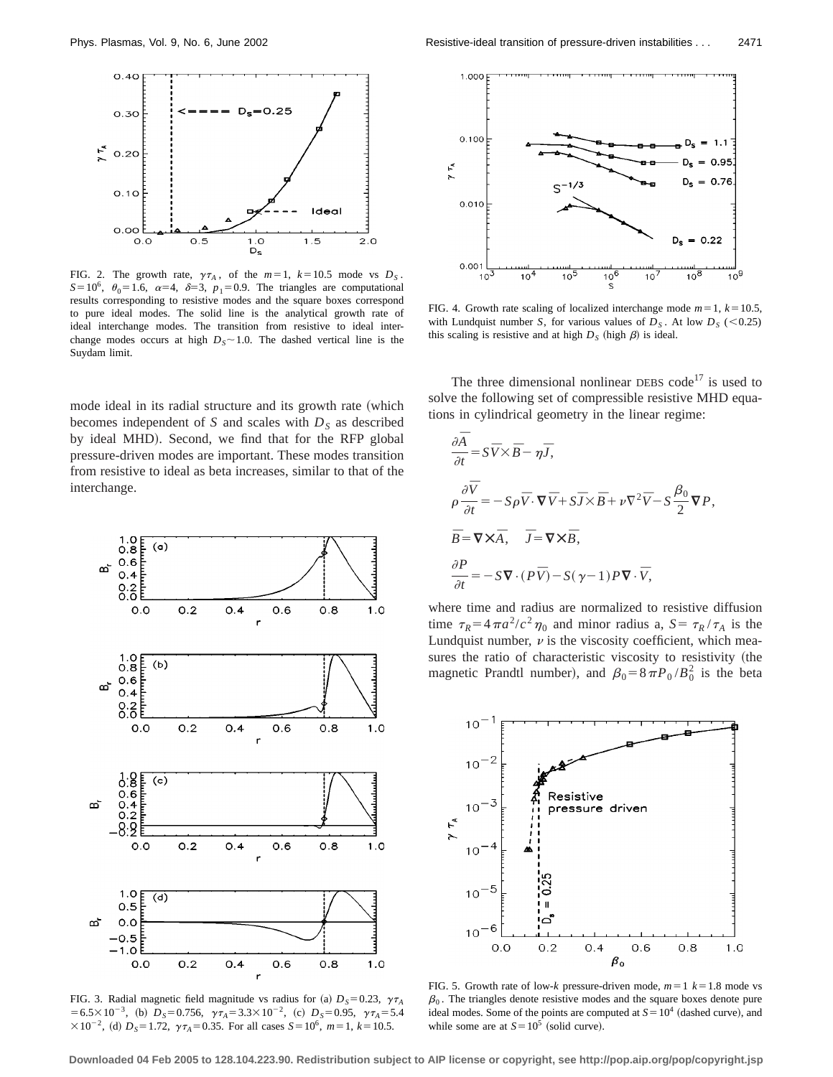

FIG. 2. The growth rate,  $\gamma \tau_A$ , of the  $m=1$ ,  $k=10.5$  mode vs  $D_S$ .  $S=10^6$ ,  $\theta_0=1.6$ ,  $\alpha=4$ ,  $\delta=3$ ,  $p_1=0.9$ . The triangles are computational results corresponding to resistive modes and the square boxes correspond to pure ideal modes. The solid line is the analytical growth rate of ideal interchange modes. The transition from resistive to ideal interchange modes occurs at high  $D_s \sim 1.0$ . The dashed vertical line is the Suydam limit.

mode ideal in its radial structure and its growth rate (which becomes independent of *S* and scales with  $D<sub>S</sub>$  as described by ideal MHD). Second, we find that for the RFP global pressure-driven modes are important. These modes transition from resistive to ideal as beta increases, similar to that of the interchange.



FIG. 3. Radial magnetic field magnitude vs radius for (a)  $D_s = 0.23$ ,  $\gamma \tau_A$  $=6.5\times10^{-3}$ , (b)  $D_s=0.756$ ,  $\gamma\tau_A=3.3\times10^{-2}$ , (c)  $D_s=0.95$ ,  $\gamma\tau_A=5.4$  $\times 10^{-2}$ , (d)  $D_s = 1.72$ ,  $\gamma \tau_A = 0.35$ . For all cases  $S = 10^6$ ,  $m = 1$ ,  $k = 10.5$ .



FIG. 4. Growth rate scaling of localized interchange mode  $m=1$ ,  $k=10.5$ , with Lundquist number *S*, for various values of  $D<sub>S</sub>$ . At low  $D<sub>S</sub>$  (<0.25) this scaling is resistive and at high  $D_S$  (high  $\beta$ ) is ideal.

The three dimensional nonlinear DEBS code<sup>17</sup> is used to solve the following set of compressible resistive MHD equations in cylindrical geometry in the linear regime:

$$
\frac{\partial \overline{A}}{\partial t} = S\overline{V} \times \overline{B} - \eta \overline{J},
$$
  
\n
$$
\rho \frac{\partial \overline{V}}{\partial t} = -S\rho \overline{V} \cdot \nabla \overline{V} + S\overline{J} \times \overline{B} + \nu \nabla^2 \overline{V} - S\frac{\beta_0}{2} \nabla P,
$$
  
\n
$$
\overline{B} = \nabla \times \overline{A}, \quad \overline{J} = \nabla \times \overline{B},
$$
  
\n
$$
\frac{\partial P}{\partial t} = -S\nabla \cdot (P\overline{V}) - S(\gamma - 1)P\nabla \cdot \overline{V},
$$

where time and radius are normalized to resistive diffusion time  $\tau_R = 4\pi a^2/c^2 \eta_0$  and minor radius a,  $S = \tau_R / \tau_A$  is the Lundquist number,  $\nu$  is the viscosity coefficient, which measures the ratio of characteristic viscosity to resistivity (the magnetic Prandtl number), and  $\beta_0 = 8 \pi P_0 / B_0^2$  is the beta



FIG. 5. Growth rate of low- $k$  pressure-driven mode,  $m=1$   $k=1.8$  mode vs  $\beta_0$ . The triangles denote resistive modes and the square boxes denote pure ideal modes. Some of the points are computed at  $S=10^4$  (dashed curve), and while some are at  $S=10^5$  (solid curve).

**Downloaded 04 Feb 2005 to 128.104.223.90. Redistribution subject to AIP license or copyright, see http://pop.aip.org/pop/copyright.jsp**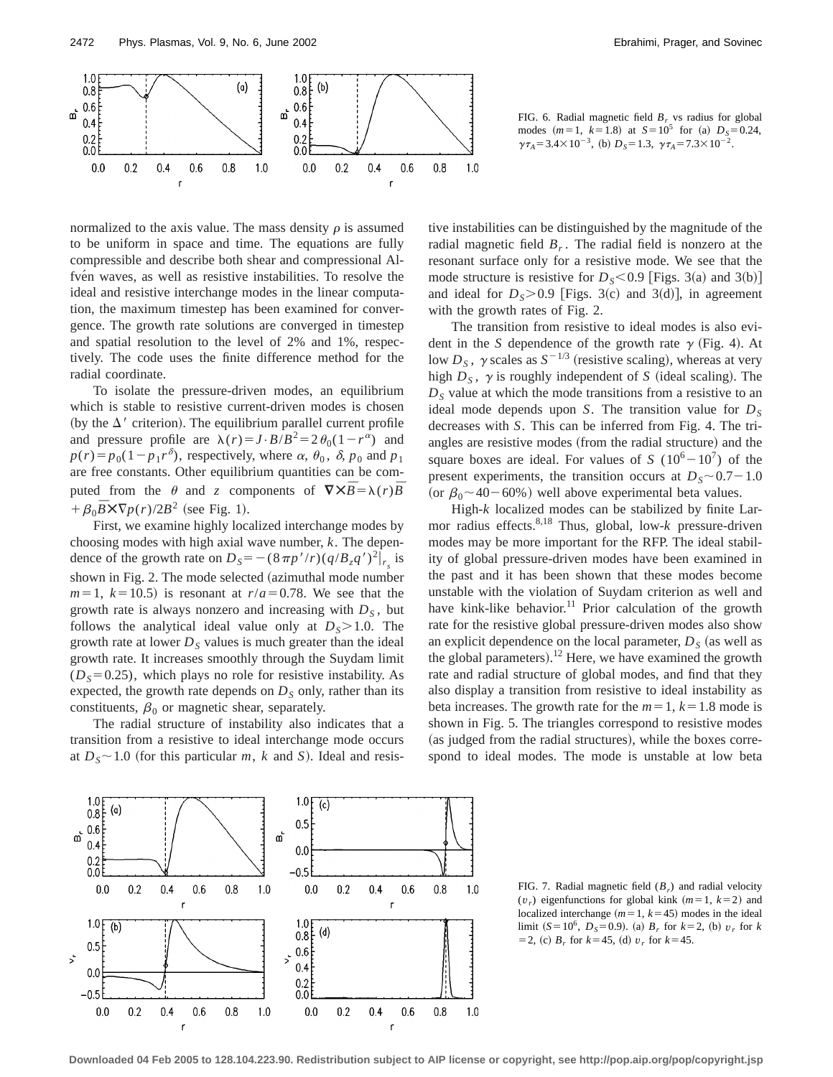

FIG. 6. Radial magnetic field  $B_r$  vs radius for global modes  $(m=1, k=1.8)$  at  $S=10^5$  for (a)  $D_s=0.24$ ,  $\gamma \tau_A = 3.4 \times 10^{-3}$ , (b)  $D_s = 1.3$ ,  $\gamma \tau_A = 7.3 \times 10^{-2}$ .

normalized to the axis value. The mass density  $\rho$  is assumed to be uniform in space and time. The equations are fully compressible and describe both shear and compressional Alfvén waves, as well as resistive instabilities. To resolve the ideal and resistive interchange modes in the linear computation, the maximum timestep has been examined for convergence. The growth rate solutions are converged in timestep and spatial resolution to the level of 2% and 1%, respectively. The code uses the finite difference method for the radial coordinate.

To isolate the pressure-driven modes, an equilibrium which is stable to resistive current-driven modes is chosen (by the  $\Delta'$  criterion). The equilibrium parallel current profile and pressure profile are  $\lambda(r) = J \cdot B/B^2 = 2 \theta_0 (1 - r^{\alpha})$  and  $p(r) = p_0(1-p_1 r^{\delta})$ , respectively, where  $\alpha$ ,  $\theta_0$ ,  $\delta$ ,  $p_0$  and  $p_1$ are free constants. Other equilibrium quantities can be computed from the  $\theta$  and *z* components of  $\nabla \times \overline{B} = \lambda(r) \overline{B}$  $+\beta_0 \bar{B} \times \nabla p(r)/2B^2$  (see Fig. 1).

First, we examine highly localized interchange modes by choosing modes with high axial wave number, *k*. The dependence of the growth rate on  $D_s = -(8\pi p'/r)(q/B_zq')^2|_{r_s}$  is shown in Fig. 2. The mode selected (azimuthal mode number  $m=1$ ,  $k=10.5$ ) is resonant at  $r/a=0.78$ . We see that the growth rate is always nonzero and increasing with  $D<sub>S</sub>$ , but follows the analytical ideal value only at  $D_s > 1.0$ . The growth rate at lower  $D<sub>S</sub>$  values is much greater than the ideal growth rate. It increases smoothly through the Suydam limit  $(D<sub>S</sub>=0.25)$ , which plays no role for resistive instability. As expected, the growth rate depends on  $D<sub>S</sub>$  only, rather than its constituents,  $\beta_0$  or magnetic shear, separately.

The radial structure of instability also indicates that a transition from a resistive to ideal interchange mode occurs at  $D_s \sim 1.0$  (for this particular *m*, *k* and *S*). Ideal and resistive instabilities can be distinguished by the magnitude of the radial magnetic field  $B_r$ . The radial field is nonzero at the resonant surface only for a resistive mode. We see that the mode structure is resistive for  $D_s < 0.9$  [Figs. 3(a) and 3(b)] and ideal for  $D_s > 0.9$  [Figs. 3(c) and 3(d)], in agreement with the growth rates of Fig. 2.

The transition from resistive to ideal modes is also evident in the *S* dependence of the growth rate  $\gamma$  (Fig. 4). At low  $D_s$ ,  $\gamma$  scales as  $S^{-1/3}$  (resistive scaling), whereas at very high  $D<sub>S</sub>$ ,  $\gamma$  is roughly independent of *S* (ideal scaling). The  $D<sub>S</sub>$  value at which the mode transitions from a resistive to an ideal mode depends upon *S*. The transition value for  $D<sub>S</sub>$ decreases with *S*. This can be inferred from Fig. 4. The triangles are resistive modes (from the radial structure) and the square boxes are ideal. For values of *S* ( $10^6 - 10^7$ ) of the present experiments, the transition occurs at  $D_s \sim 0.7-1.0$ (or  $\beta_0$  ~ 40 – 60%) well above experimental beta values.

High-*k* localized modes can be stabilized by finite Larmor radius effects.8,18 Thus, global, low-*k* pressure-driven modes may be more important for the RFP. The ideal stability of global pressure-driven modes have been examined in the past and it has been shown that these modes become unstable with the violation of Suydam criterion as well and have kink-like behavior.<sup>11</sup> Prior calculation of the growth rate for the resistive global pressure-driven modes also show an explicit dependence on the local parameter,  $D<sub>S</sub>$  (as well as the global parameters).<sup>12</sup> Here, we have examined the growth rate and radial structure of global modes, and find that they also display a transition from resistive to ideal instability as beta increases. The growth rate for the  $m=1$ ,  $k=1.8$  mode is shown in Fig. 5. The triangles correspond to resistive modes (as judged from the radial structures), while the boxes correspond to ideal modes. The mode is unstable at low beta



FIG. 7. Radial magnetic field (*Br*) and radial velocity  $(v_r)$  eigenfunctions for global kink  $(m=1, k=2)$  and localized interchange  $(m=1, k=45)$  modes in the ideal limit  $(S=10^6, D_s=0.9)$ . (a)  $B_r$  for  $k=2$ , (b)  $v_r$  for  $k$  $=$  2, (c)  $B_r$  for  $k=$  45, (d)  $v_r$  for  $k=$  45.

**Downloaded 04 Feb 2005 to 128.104.223.90. Redistribution subject to AIP license or copyright, see http://pop.aip.org/pop/copyright.jsp**